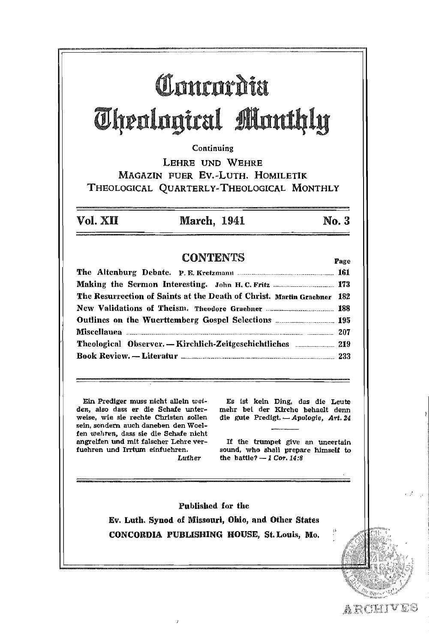# Chantarditt Theological Monthly

### Continuing

LEHRE UND WEHRE MAGAZIN FUER Ev.·LuTH. HOMILETIK THEOLOGICAL QUARTERLY.THEOLOGICAL MONTHLY

Vol. XII March, 1941 No.3

### CONTENTS **Page**

| The Resurrection of Saints at the Death of Christ. Martin Graebner 182                |  |
|---------------------------------------------------------------------------------------|--|
|                                                                                       |  |
|                                                                                       |  |
|                                                                                       |  |
| <b>Theological Observer.</b> — Kirchlich-Zeitgeschichtliches <b>_____________ 219</b> |  |
|                                                                                       |  |

Ein Prediger muss nicht allein *wet*den, also dass er die Schafe unterweise, wie sie rechte Christen sollen sein, sondern auch daneben den Woelfen *wel.ren,* dass sie die Schafe nlcht angreifen und mit falscher Lehre verfuehren und Irrtum elnfuehren. Luther

Es 1st kein Ding, das die Leute mehr bei der Klrche behaelt denn die gute Predigt. - Apologie, Art. 24

If the trumpet give an uncertain sound, who shall prepare himself to the battle?  $-1$  Cor, 14:8

Published for the Ev. Luth. Synod of Missouri, Ohio, and Other States CONCORDIA PUBLISHING HOUSE, St, Louis, Mo.

ARCHIVES

 $\mathfrak{g}$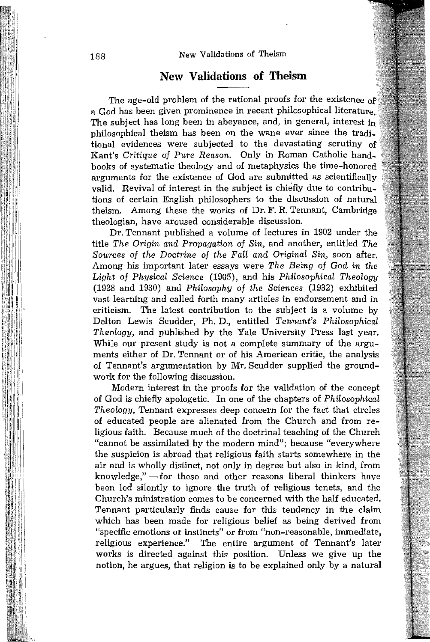### **New Validations of Theism**

The age-old problem of the rational proofs for the existence of a God has been given prominence in recent philosophical literature. The subject has long been in abeyance, and, in general, interest in philosophical theism has been on the wane ever since the tradi\_ tional evidences were subjected to the devastating scrutiny of Kant's *Critique of Pure Reason.* Only in Roman Catholic hand\_ books of systematic theology and of metaphysics the time-honored arguments for the existence of God are submitted as scientifically valid. Revival of interest in the subject is chiefly due to contributions of certain English philosophers to the discussion of natural theism. Among these the works of Dr. F. R. Tennant, Cambridge theologian, have aroused considerable discussion.

Dr. Tennant published a volume of lectures in 1902 under the title *The Origin and Propagation of Sin*, and another, entitled *The Sources of the Doctrine of the Fall and Original Sin,* soon after. Among his important later essays were *The Being of God in the Light of Physical Science* (1905), and his *Philosophical Theology*  (1928 and 1930) and *Philosophy of the Sciences* (1932) exhibited vast learning and called forth many articles in endorsement and in criticism. The latest contribution to the subject is a volume by Delton Lewis Scudder, Ph. D., entitled *Tennant's Philosophical Theology,* and published by the Yale University Press last year. While our present study is not a complete summary of the arguments either of Dr. Tennant or of his American critic, the analysis of Tennant's argumentation by Mr. Scudder supplied the groundwork for the following discussion.

Modern interest in the proofs for the validation of the concept of God is chiefly apologetic. In one of the chapters of *Philosophical Theology,* Tennant expresses deep concern for the fact that circles of educated people are alienated from the Church and from religious faith. Because much of the doctrinal teaching of the Church "cannot be assimilated by the modern mind"; because "everywhere the suspicion is abroad that religious faith starts somewhere in the air and is wholly distinct, not only in degree but also in kind, from  $k$ nowledge," $-$ for these and other reasons liberal thinkers have been led silently to ignore the truth of religious tenets, and the Church's ministration comes to be concerned with the half educated. Tennant particularly finds cause for this tendency in the claim which has been made for religious belief as being derived from "specific emotions or instincts" or from "non-reasonable, immediate, religious experience." The entire argument of Tennant's later works is directed against this position. Unless we give up the notion, he argues, that religion is to be explained only by a natural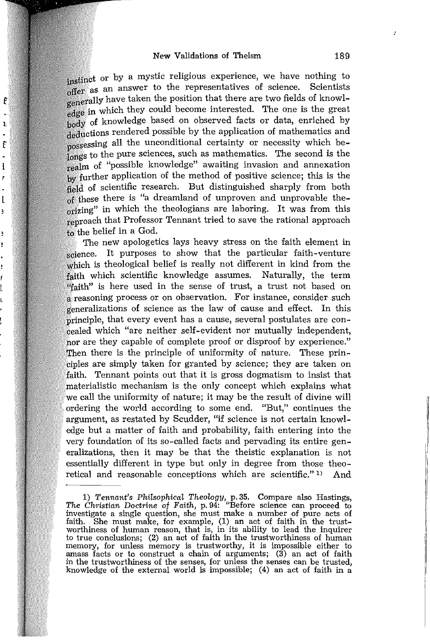f

ï

f

ł

 $\mathbf{I}$ ì

À ł instinct or by a mystic religious experience, we have nothing to offer as an answer to the representatives of science. Scientists enerally have taken the position that there are two fields of knowledge in which they could become interested. The one is the great body of knowledge based on observed facts or data, enriched by deductions rendered possible by the application of mathematics and possessing all the unconditional certainty or necessity which beto the pure sciences, such as mathematics. The second is the realm of "possible knowledge" awaiting invasion and annexation by further application of the method of positive science; this is the field of scientific research. But distinguished sharply from both of these there is "a dreamland of unproven and unprovable theorizing" in which the theologians are laboring. It was from this reproach that Professor Tennant tried to save the rational approach to the belief in a God.

The new apologetics lays heavy stress on the faith element in science. It purposes to show that the particular faith-venture which is theological belief is really not different in kind from the faith which scientific knowledge assumes. Naturally, the term "faith" is here used in the sense of trust, a trust not based on a reasoning process or on observation. For instance, consider such generalizations of science as the law of cause and effect. In this principle, that every event has a cause, several postulates are concealed which "are neither self-evident nor mutually independent, nor are they capable of complete proof or disproof by experience." Then there is the principle of uniformity of nature. These principles are simply taken for granted by science; they are taken on faith. Tennant points out that it is gross dogmatism to insist that materialistic mechanism is the only concept which explains what we call the uniformity of nature; it may be the result of divine will ordering the world according to some end. "But," continues the argument, as restated by Scudder, "if science is not certain knowledge but a matter of faith and probability, faith entering into the very foundation of its so-called facts and pervading its entire generalizations, then it may be that the theistic explanation is not essentially different in type but only in degree from those theoretical and reasonable conceptions which are scientific." 1) And

<sup>1)</sup> *Tennant's Philsophical Theology,* p.35. Compare also Hastings, *The Clwistian Doctrine of Faith,* p. 94: "Before science can proceed to investigate a single question, she must make a number of pure acts of faith. She must make, for example, (1) an act of faith in the trust-worthiness of human reason, that is, in its ability to lead the inquirer to true conclusions; (2) an act of faith in the trustworthiness of human<br>memory, for unless memory is trustworthy, it is impossible either to amass facts or to construct a chain of arguments;  $(3)$  an act of faith in the trustworthiness of the senses, for unless the senses can be trusted, knowledge of the external world is impossible; (4) an act of faith in a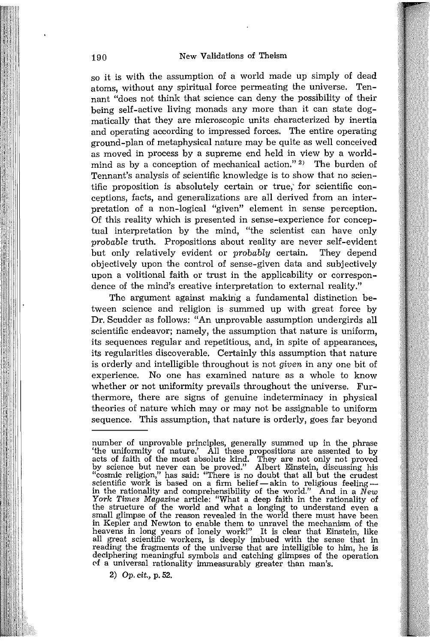so it is with the assumption of a world made up simply of dead atoms, without any spiritual force permeating the universe. Tennant "does not think that science can deny the possibility of their being self-active living monads any more than it can state dogmatically that they are microscopic units characterized by inertia and operating according to impressed forces. The entire operating ground-plan of metaphysical nature may be quite as well conceived as moved in process by a supreme end held in view by a worldmind as by a conception of mechanical action." 2) The burden of Tennant's analysis of scientific knowledge is to show that no scientific proposition is absolutely certain or true,' for scientific conceptions, facts, and generalizations are all derived from an interpretation of a non-logical "given" element in sense perception. Of this reality which is presented in sense-experience for conceptual interpretation by the mind, "the scientist can have only *probable* truth. Propositions about reality are never self-evident but only relatively evident or *probably* certain. They depend objectively upon the control of sense-given data and subjectively upon a volitional faith or trust in the applicability or correspondence of the mind's creative interpretation to external reality."

The argument against making a fundamental distinction between science and religion is summed up with great force by Dr. Scudder as follows: "An unprovable assumption undergirds all scientific endeavor; namely, the assumption that nature is uniform, its sequences regular and repetitious, and, in spite of appearances, its regularities discoverable. Certainly this assumption that nature is orderly and intelligible throughout is not *given* in anyone bit of experience. No one has examined nature as a whole to know whether or not uniformity prevails throughout the universe. Furthermore, there are signs of genuine indeterminacy in physical theories of nature which may or may not be assignable to uniform sequence. This assumption, that nature is orderly, goes far beyond

*2) Op.* cit., p. 52.

number of unprovable principles, generally summed up in the phrase 'the uniformity of nature.' All these propositions are assented to by acts of faith of the most absolute kind. They are not only not proved by science but never can be proved." Albert Einstein, discussing his "cosmic religion," has said: "There is no doubt that all but the crudest scientific work is based on a firm belief — akin to religious feeling — in the the structure of the world and what a longing to understand even a small glimpse of the reason revealed in the world there must have been in Kepler and Newton to enable them to unravel the mechanism of the heavens in long years of lonely work!" It is clear that Einstein, like all great scientific workers, is deeply imbued with the sense that in reading the fragments of the universe that are intelligible to him, he is deciphering meaningful symbols and catching glimpses of the operation of a universal rationality immeasurably greater than man's.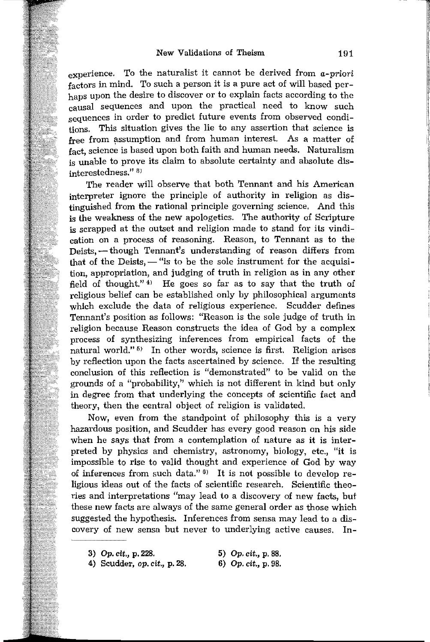experience. To the naturalist it cannot be derived from *a-priori* factors in mind. To such a person it is a pure act of will based perhaps upon the desire to discover or to explain facts according to the causal sequences and upon the practical need to know such sequences in order to predict future events from observed conditions. This situation gives the lie to any assertion that science is free from assumption and from human interest. As a matter of fact, science is based upon both faith and human needs. Naturalism is unable to prove its claim to absolute certainty and absolute disinterestedness." 8)

The reader will observe that both Tennant and his American interpreter ignore the principle of authority in religion as distinguished from the rational principle governing science. And this is the weakness of the new apologetics. The authority of Scripture is scrapped at the outset and religion made to stand for its vindication on a process of reasoning. Reason, to Tennant as to the Deists,  $-$  though Tennant's understanding of reason differs from that of the Deists,  $-$  "is to be the sole instrument for the acquisition, appropriation, and judging of truth in religion as in any other field of thought."<sup>4)</sup> He goes so far as to say that the truth of religious belief can be established only by philosophical arguments which exclude the data of religious experience. Scudder defmes Tennant's position as follows: "Reason is the sole judge of truth in religion because Reason constructs the idea of God by a complex process of synthesizing inferences from empirical facts of the natural world."<sup>5)</sup> In other words, science is first. Religion arises by reflection upon the facts ascertained by science. If the resulting conclusion of this reflection is "demonstrated" to be valid on the grounds of a "probability," which is not different in kind but only in degree from that underlying the concepts of scientific fact and theory, then the central object of religion is validated.

Now, even from the standpoint of philosophy this is a very hazardous position, and Scudder has every good reason on his side when he says that from a contemplation of nature as **it** is interpreted by physics and chemistry, astronomy, biology, etc., "it is impossible to rise to valid thought and experience of God by way of inferences from such data." $\theta$ ) It is not possible to develop religious ideas out of the facts of scientific research. Scientific theories and interpretations "may lead to a discovery of new facts, but these new facts are always of the same general order as those which suggested the hypothesis. Inferences from sensa may lead to a discovery of new sensa but never to underlying active causes. **In-**

3) *Op. cit.,* p. 228. *5) Op.* cit., p. 88.

<sup>4)</sup> Scudder, op. *cit.,* p.28. *6) Op. cit.,* p. 98.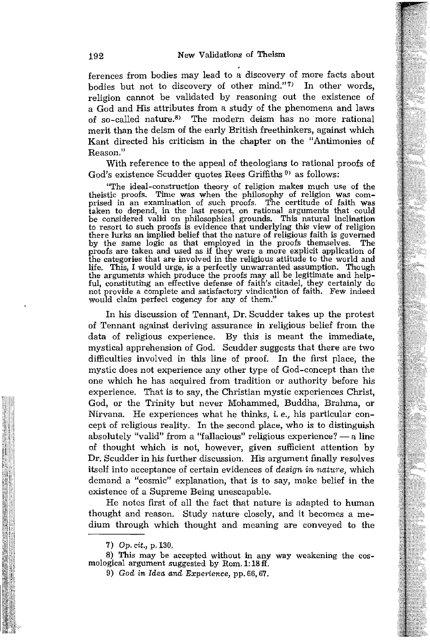ferences from bodies may lead to a discovery of more facts about bodies but not to discovery of other mind." $7$  In other words, religion cannot be validated by reasoning out the existence of a God and His attributes from a study of the phenomena and laws of so-called nature.<sup>8)</sup> The modern deism has no more rational merit than the deism of the early British freethinkers, against which Kant directed his criticism in the chapter on the "Antimonies of Reason."

With reference to the appeal of theologians to rational proofs of God's existence Scudder quotes Rees Griffiths  $\overline{v}$  as follows:

"The ideal-construction theory of religion makes much use of the theistic proofs. Time was when the philosophy of religion was comtheistic proofs. Time was when the philosophy of religion was com-<br>prised in an examination of such proofs. The certitude of faith was<br>taken to depend, in the last resort, on rational arguments that could be considered valid on philosophical grounds. This natural inclination to resort to such proofs is evidence that underlying this view of religion there lurks an implied belief that the nature of religious faith is govemed by the same logic as that employed in the proofs themselves. The proofs are taken and used as if they were a more explicit application of the categories that are involved in the religious attitude to the world and life. This, I would urge, is a perfectly unwarranted assumption. Though the arguments which produce the proofs may all be legitimate and helpful, constituting an effective defense of faith's citadel, they certainly do not provide a complete and satisfactory vindication of faith. Few indeed would claim perfect cogency for any of them."

In his discussion of Tennant, Dr. Scudder takes up the protest of Tennant against deriving assurance in religious belief from the data of religious experience. By this is meant the immediate, mysticaJ apprehension of God. Scudder suggests that there are two difficulties involved in this line of proof. In the first place, the mystic does not experience any other type of God-concept than the one which he has acquired from tradition or authority before his experience. That is to say, the Christian mystic experiences Christ, God, or the Trinity but never Mohammed, Buddha, Brahma, or Nirvana. He experiences what he thinks, i. *e.,* his particular concept of religious reality. In the second place, who is to distinguish absolutely "valid" from a "fallacious" religious experience?  $-$  a line of thought which is not, however, given sufficient attention by Dr. Scudder in his further discussion. His argument finally resolves itself into acceptance of certain evidences of *design in nature*, which demand a "cosmic" explanation, that is to say, make belief in the existence of a Supreme Being unescapable.

He notes first of all the fact that nature is adapted to human thought and reason. Study nature closely, and it becomes a medium through which thought and meaning are conveyed to the

8) This may be accepted without in any way weakening the cos- mological argument suggested by Rom. 1: 18 fl.

<sup>7)</sup> Op. cit., p.130.

<sup>9)</sup> *God in Idea and Experience*, pp. 66, 67.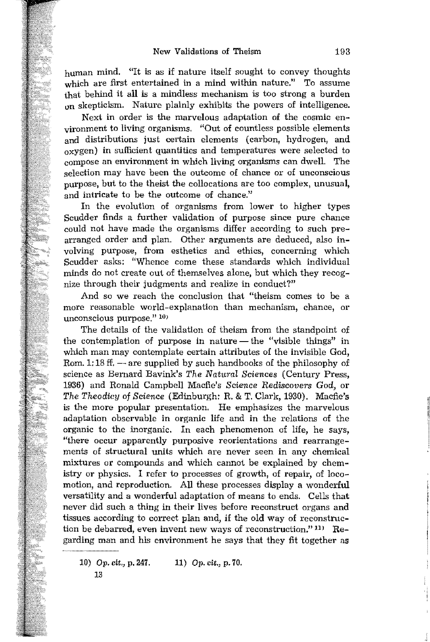human mind. "It is as if nature itself sought to convey thoughts which are first entertained in a mind within nature." To assume that behind it all is a mindless mechanism is too strong a burden on skepticism. Nature plainly exhibits the powers of intelligence.

Next in order is the marvelous adaptation of the cosmic environment to living organisms. "Out of countless possible elements and distributions just certain elements (carbon, hydrogen, and  $_{\alpha}$ xygen) in sufficient quantities and temperatures were selected to compose an environment in which living organisms can dwell. The selection may have been the outcome of chance or of unconscious purpose, but to the theist the collocations are too complex, unusual, and intricate to be the outcome of chance."

In the evolution of organisms from lower to higher types Scudder finds a further validation of purpose since pure chance could not have made the organisms differ according to such prearranged order and plan. Other arguments are deduced, also involving purpose, from esthetics and ethics, concerning which Scudder asks; "Whence come these standards which individual minds do not create out of themselves alone, but which they recognize through their judgments and realize in conduct?"

And so we reach the conclusion that "theism comes to be a more reasonable world-explanation than mechanism, chance, or unconscious purpose." 10)

The details of the validation of theism from the standpoint of the contemplation of purpose in nature — the "visible things" in which man may contemplate certain attributes of the invisible God, Rom.  $1:18$  ff.  $-$  are supplied by such handbooks of the philosophy of science as Bernard Bavink's *The Natural Sciences* (Century Press, 1936) and Ronald Campbell Macfie's *Science Rediscovers God,* or *The Theodicy* of *Science* (Edinburgh: R. & T. Clark, 1930). Macfie's is the more popular presentation. He emphasizes the marvelous adaptation observable in organic life and in the relations of the organic to the inorganic. In each phenomenon of life, he says, "there occur apparently purposive reorientations and rearrangements of structural units which are never seen in any chemical mixtures or compounds and which cannot be explained by chemistry or physics. I refer to processes of growth, of repair, of locomotion, and reproduction. All these processes display a wonderful versatility and a wonderful adaptation of means to ends. Cells that never did such a thing in their lives before reconstruct organs and tissues according to correct plan and, if the old way of reconstruction be debarred, even invent new ways of reconstruction." 11) Regarding man and his environment he says that they fit together as

10) Op. cit., p. 247. 13 11) Op. *cit.,* p.70.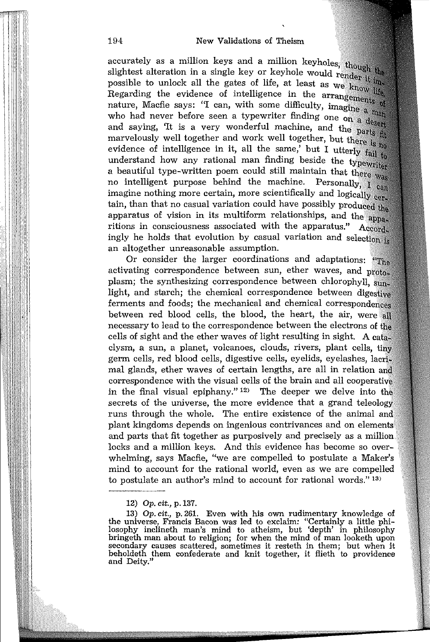### 194 New Validations of Theism

accurately as a million keys and a million keyholes, though the accurately as a minimum  $\frac{1}{2}$ . Even by or keyhole would render it imsugniest attention in  $\alpha$  and  $\alpha$  is the gates of life, at least as we know life. possible to unlock an the series of intelligence in the arrangements of Regarding the evidence of intelligence in the arrangements of Regarding the evidence  $\sim$   $\sim$   $\sim$   $\sim$   $\sim$  difficulty, imagine a man nature, Macfie says: "I can, with some difficulty, imagine a man mature, mature super  $\sim$  times. who had hever below been a very wonderful machine, and the parts fit marvelously well together and work well together, but there is no<br> $\frac{1}{2}$  is no evidence of intelligence in it, all the same, but I utterly  $\frac{1}{\text{fail}}$  to understand how any rational man finding beside the typewriter a beautiful type-written poem could still maintain that there  $_{\text{wag}}$ no intelligent purpose behind the machine. Personally,  $\overline{I}$   $\overline{c_{\text{an}}}$  $\frac{1}{2}$  imagine nothing more certain, more scientifically and logically  $\frac{1}{2}$ tain, than that no casual variation could have possibly produced the apparatus of vision in its multiform relationships, and the apparitions in consciousness associated with the apparatus."  $A_{ccord}$ ingly he holds that evolution by casual variation and selection  $_{18}$ an altogether unreasonable assumption.

Or consider the larger coordinations and adaptations: "The activating correspondence between sun, ether waves, and protoplasm; the synthesizing correspondence between chlorophyll, sunlight, and starch; the chemical correspondence between digestive ferments and foods; the mechanical and chemical correspondences between red blood cells, the blood, the heart, the air, were all necessary to lead to the correspondence between the electrons of the cells of sight and the ether waves of light resulting in sight. A clysm, a sun, a planet, volcanoes, clouds, rivers, plant cells, germ cells, red blood cells, digestive cells, eyelids, eyelashes, mal glands, ether waves of certain lengths, are all in relation correspondence with the visual cells of the brain and all cooperative in the final visual epiphany."  $12$ ) The deeper we delve into the secrets of the universe, the more evidence that a grand teleology runs through the whole. The entire existence of the animal and plant kingdoms depends on ingenious contrivances and on elements and parts that fit together as purposively and precisely as a million locks and a million keys. And this evidence has become so overwhelming, says Macfie, "we are compelled to postulate a Maker's mind to account for the rational world, even as we are compelled to postulate an author's mind to account for rational words." 13)

*<sup>12)</sup> Op. cit.,* p.137.

*<sup>13)</sup> Op. cit.,* p. 261. Even with his own rudimentary knowledge of the universe, Francis Bacon was led to exclaim: "Certainly a little philosophy inclineth man's mind to atheism, but 'depth' in philosophy bringeth man about to religion; for when the mind of man looketh upon secondary causes scattered, sometimes it resteth in them; but when it beholdeth them confederate and knit together, it flieth to providence and Deity."